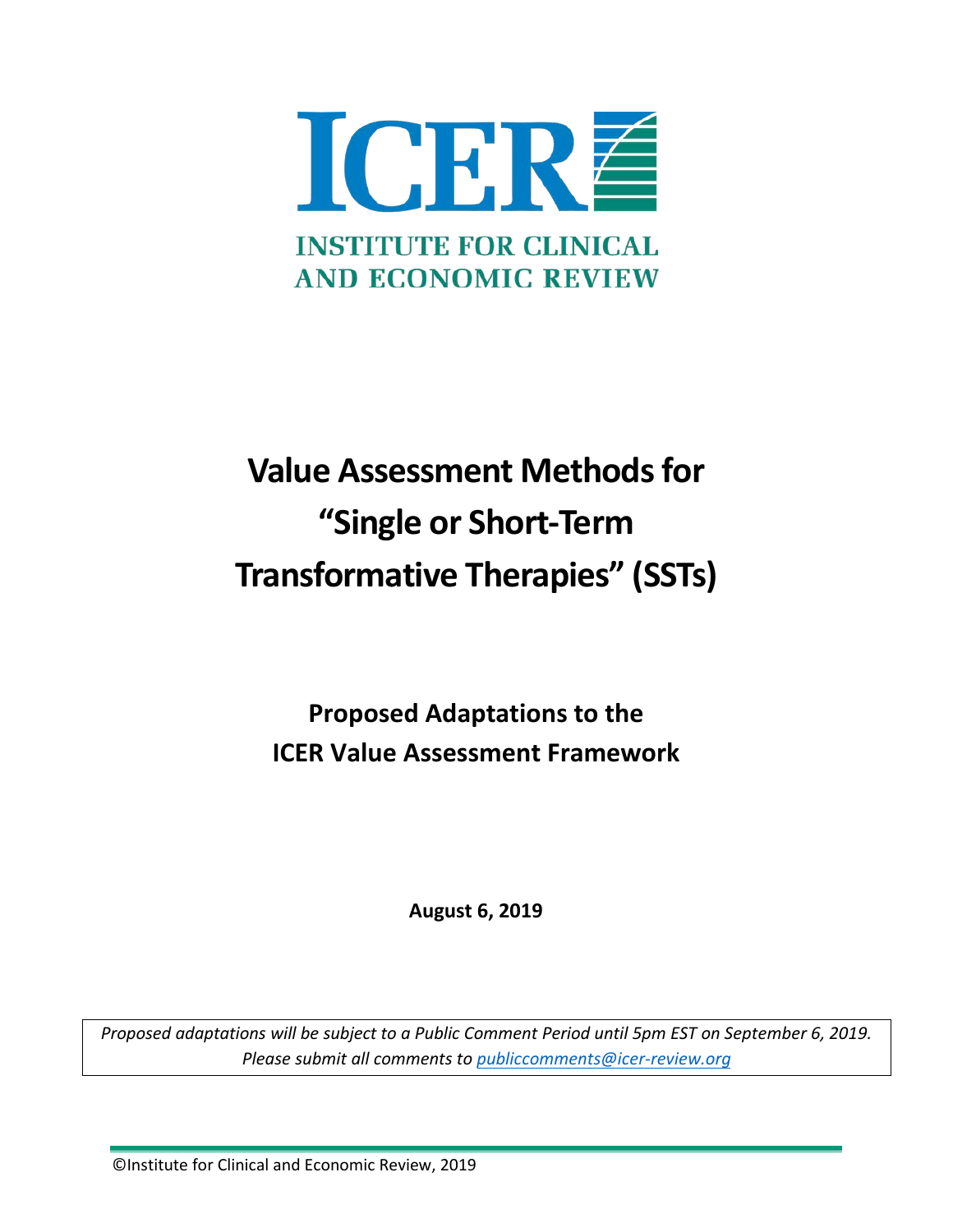

# **Value Assessment Methods for "Single or Short-Term Transformative Therapies" (SSTs)**

**Proposed Adaptations to the ICER Value Assessment Framework**

**August 6, 2019**

*Proposed adaptations will be subject to a Public Comment Period until 5pm EST on September 6, 2019. Please submit all comments to [publiccomments@icer-review.org](mailto:publiccomments@icer-review.org)*

©Institute for Clinical and Economic Review, 2019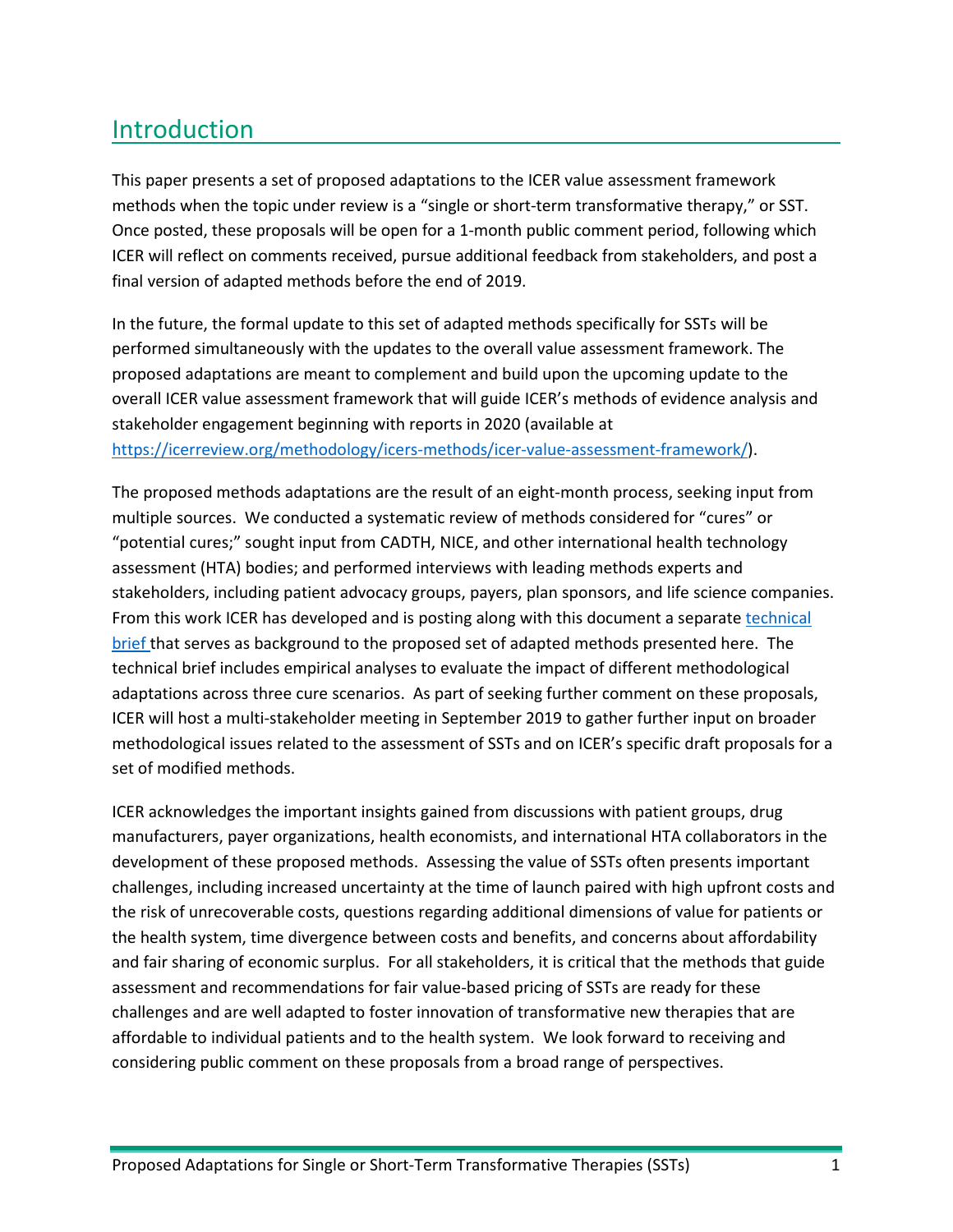# Introduction

This paper presents a set of proposed adaptations to the ICER value assessment framework methods when the topic under review is a "single or short-term transformative therapy," or SST. Once posted, these proposals will be open for a 1-month public comment period, following which ICER will reflect on comments received, pursue additional feedback from stakeholders, and post a final version of adapted methods before the end of 2019.

In the future, the formal update to this set of adapted methods specifically for SSTs will be performed simultaneously with the updates to the overall value assessment framework. The proposed adaptations are meant to complement and build upon the upcoming update to the overall ICER value assessment framework that will guide ICER's methods of evidence analysis and stakeholder engagement beginning with reports in 2020 (available at [https://icerreview.org/methodology/icers-methods/icer-value-assessment-framework/\)](https://icerreview.org/methodology/icers-methods/icer-value-assessment-framework/).

The proposed methods adaptations are the result of an eight-month process, seeking input from multiple sources. We conducted a systematic review of methods considered for "cures" or "potential cures;" sought input from CADTH, NICE, and other international health technology assessment (HTA) bodies; and performed interviews with leading methods experts and stakeholders, including patient advocacy groups, payers, plan sponsors, and life science companies. From this work ICER has developed and is posting along with this document a separate [technical](http://icer-review.org/material/valuing-a-cure-technical-brief/)  [brief t](http://icer-review.org/material/valuing-a-cure-technical-brief/)hat serves as background to the proposed set of adapted methods presented here. The technical brief includes empirical analyses to evaluate the impact of different methodological adaptations across three cure scenarios. As part of seeking further comment on these proposals, ICER will host a multi-stakeholder meeting in September 2019 to gather further input on broader methodological issues related to the assessment of SSTs and on ICER's specific draft proposals for a set of modified methods.

ICER acknowledges the important insights gained from discussions with patient groups, drug manufacturers, payer organizations, health economists, and international HTA collaborators in the development of these proposed methods. Assessing the value of SSTs often presents important challenges, including increased uncertainty at the time of launch paired with high upfront costs and the risk of unrecoverable costs, questions regarding additional dimensions of value for patients or the health system, time divergence between costs and benefits, and concerns about affordability and fair sharing of economic surplus. For all stakeholders, it is critical that the methods that guide assessment and recommendations for fair value-based pricing of SSTs are ready for these challenges and are well adapted to foster innovation of transformative new therapies that are affordable to individual patients and to the health system. We look forward to receiving and considering public comment on these proposals from a broad range of perspectives.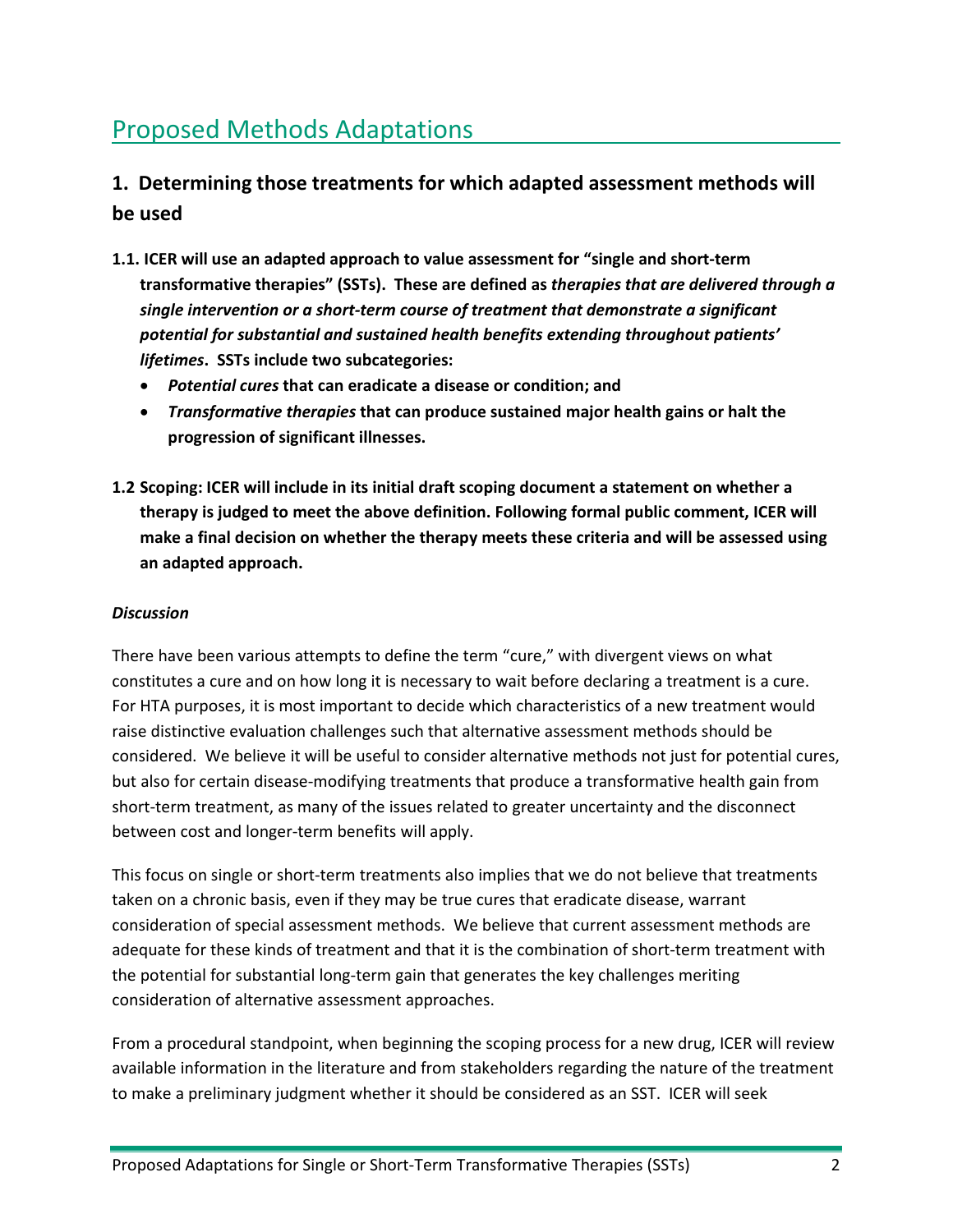# Proposed Methods Adaptations

## **1. Determining those treatments for which adapted assessment methods will be used**

- **1.1. ICER will use an adapted approach to value assessment for "single and short-term transformative therapies" (SSTs). These are defined as** *therapies that are delivered through a single intervention or a short-term course of treatment that demonstrate a significant potential for substantial and sustained health benefits extending throughout patients' lifetimes***. SSTs include two subcategories:**
	- *Potential cures* **that can eradicate a disease or condition; and**
	- *Transformative therapies* **that can produce sustained major health gains or halt the progression of significant illnesses.**
- **1.2 Scoping: ICER will include in its initial draft scoping document a statement on whether a therapy is judged to meet the above definition. Following formal public comment, ICER will make a final decision on whether the therapy meets these criteria and will be assessed using an adapted approach.**

#### *Discussion*

There have been various attempts to define the term "cure," with divergent views on what constitutes a cure and on how long it is necessary to wait before declaring a treatment is a cure. For HTA purposes, it is most important to decide which characteristics of a new treatment would raise distinctive evaluation challenges such that alternative assessment methods should be considered. We believe it will be useful to consider alternative methods not just for potential cures, but also for certain disease-modifying treatments that produce a transformative health gain from short-term treatment, as many of the issues related to greater uncertainty and the disconnect between cost and longer-term benefits will apply.

This focus on single or short-term treatments also implies that we do not believe that treatments taken on a chronic basis, even if they may be true cures that eradicate disease, warrant consideration of special assessment methods. We believe that current assessment methods are adequate for these kinds of treatment and that it is the combination of short-term treatment with the potential for substantial long-term gain that generates the key challenges meriting consideration of alternative assessment approaches.

From a procedural standpoint, when beginning the scoping process for a new drug, ICER will review available information in the literature and from stakeholders regarding the nature of the treatment to make a preliminary judgment whether it should be considered as an SST. ICER will seek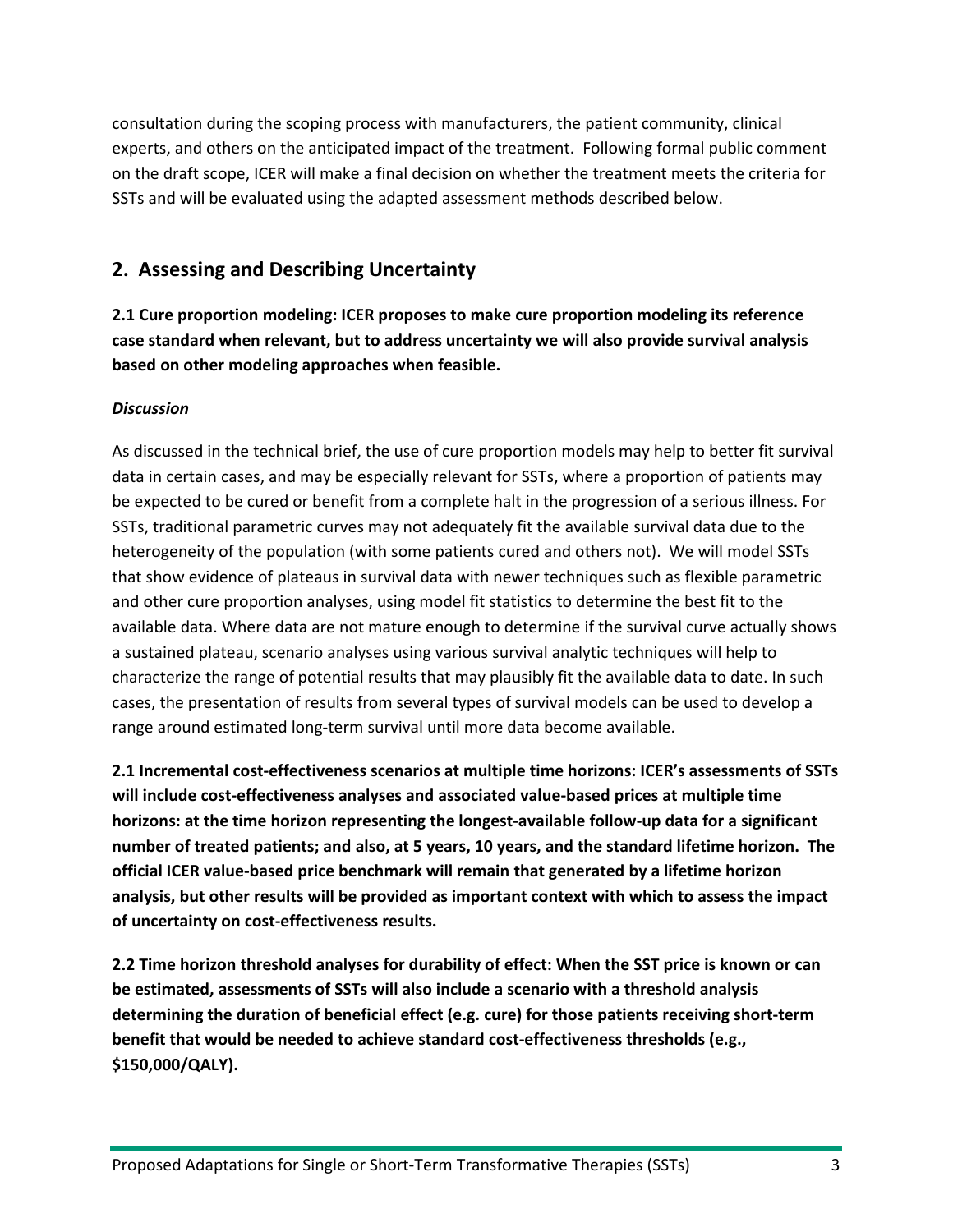consultation during the scoping process with manufacturers, the patient community, clinical experts, and others on the anticipated impact of the treatment. Following formal public comment on the draft scope, ICER will make a final decision on whether the treatment meets the criteria for SSTs and will be evaluated using the adapted assessment methods described below.

## **2. Assessing and Describing Uncertainty**

**2.1 Cure proportion modeling: ICER proposes to make cure proportion modeling its reference case standard when relevant, but to address uncertainty we will also provide survival analysis based on other modeling approaches when feasible.**

## *Discussion*

As discussed in the technical brief, the use of cure proportion models may help to better fit survival data in certain cases, and may be especially relevant for SSTs, where a proportion of patients may be expected to be cured or benefit from a complete halt in the progression of a serious illness. For SSTs, traditional parametric curves may not adequately fit the available survival data due to the heterogeneity of the population (with some patients cured and others not). We will model SSTs that show evidence of plateaus in survival data with newer techniques such as flexible parametric and other cure proportion analyses, using model fit statistics to determine the best fit to the available data. Where data are not mature enough to determine if the survival curve actually shows a sustained plateau, scenario analyses using various survival analytic techniques will help to characterize the range of potential results that may plausibly fit the available data to date. In such cases, the presentation of results from several types of survival models can be used to develop a range around estimated long-term survival until more data become available.

**2.1 Incremental cost-effectiveness scenarios at multiple time horizons: ICER's assessments of SSTs will include cost-effectiveness analyses and associated value-based prices at multiple time horizons: at the time horizon representing the longest-available follow-up data for a significant number of treated patients; and also, at 5 years, 10 years, and the standard lifetime horizon. The official ICER value-based price benchmark will remain that generated by a lifetime horizon analysis, but other results will be provided as important context with which to assess the impact of uncertainty on cost-effectiveness results.** 

**2.2 Time horizon threshold analyses for durability of effect: When the SST price is known or can be estimated, assessments of SSTs will also include a scenario with a threshold analysis determining the duration of beneficial effect (e.g. cure) for those patients receiving short-term benefit that would be needed to achieve standard cost-effectiveness thresholds (e.g., \$150,000/QALY).**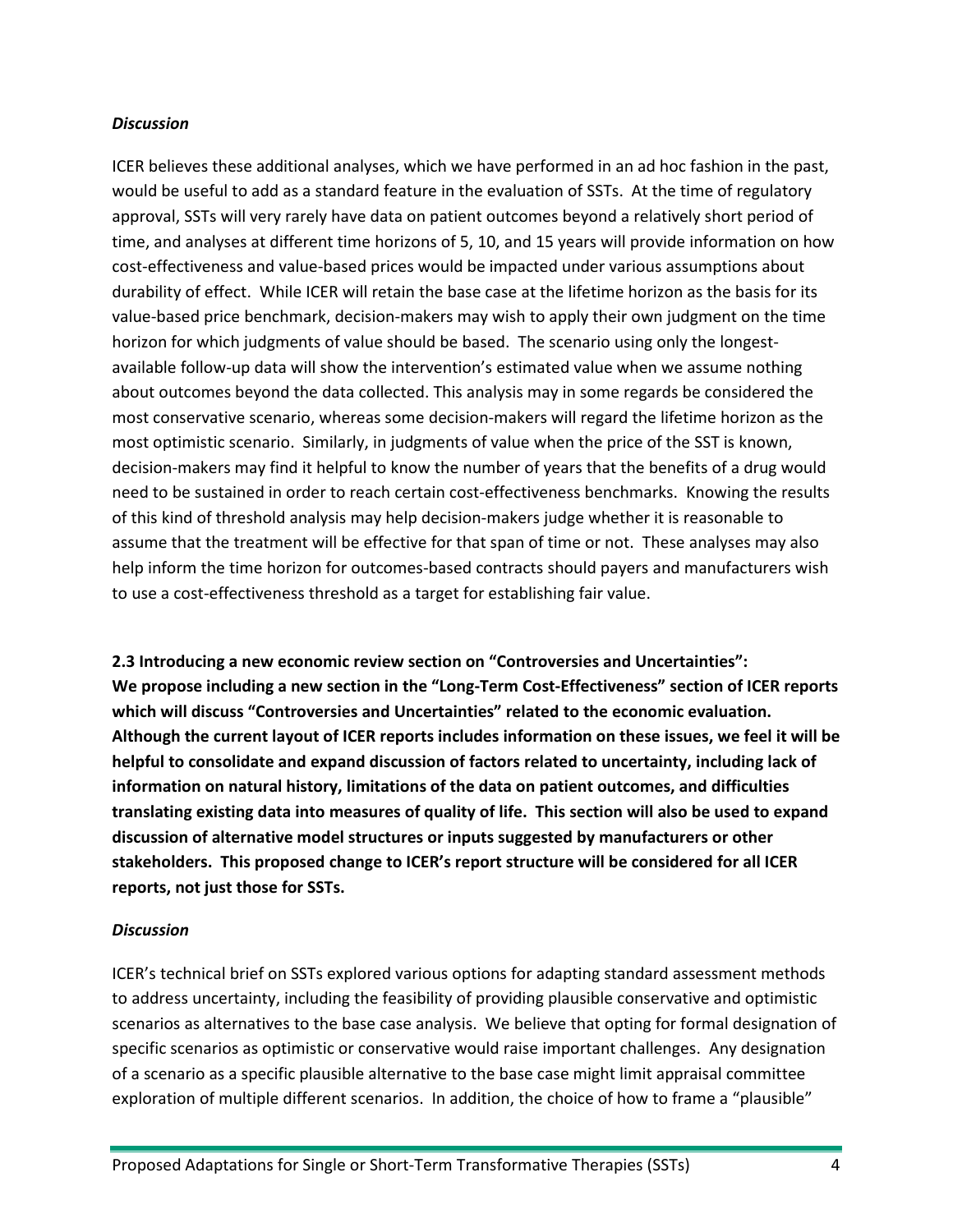#### *Discussion*

ICER believes these additional analyses, which we have performed in an ad hoc fashion in the past, would be useful to add as a standard feature in the evaluation of SSTs. At the time of regulatory approval, SSTs will very rarely have data on patient outcomes beyond a relatively short period of time, and analyses at different time horizons of 5, 10, and 15 years will provide information on how cost-effectiveness and value-based prices would be impacted under various assumptions about durability of effect. While ICER will retain the base case at the lifetime horizon as the basis for its value-based price benchmark, decision-makers may wish to apply their own judgment on the time horizon for which judgments of value should be based. The scenario using only the longestavailable follow-up data will show the intervention's estimated value when we assume nothing about outcomes beyond the data collected. This analysis may in some regards be considered the most conservative scenario, whereas some decision-makers will regard the lifetime horizon as the most optimistic scenario. Similarly, in judgments of value when the price of the SST is known, decision-makers may find it helpful to know the number of years that the benefits of a drug would need to be sustained in order to reach certain cost-effectiveness benchmarks. Knowing the results of this kind of threshold analysis may help decision-makers judge whether it is reasonable to assume that the treatment will be effective for that span of time or not. These analyses may also help inform the time horizon for outcomes-based contracts should payers and manufacturers wish to use a cost-effectiveness threshold as a target for establishing fair value.

**2.3 Introducing a new economic review section on "Controversies and Uncertainties": We propose including a new section in the "Long-Term Cost-Effectiveness" section of ICER reports which will discuss "Controversies and Uncertainties" related to the economic evaluation. Although the current layout of ICER reports includes information on these issues, we feel it will be helpful to consolidate and expand discussion of factors related to uncertainty, including lack of information on natural history, limitations of the data on patient outcomes, and difficulties translating existing data into measures of quality of life. This section will also be used to expand discussion of alternative model structures or inputs suggested by manufacturers or other stakeholders. This proposed change to ICER's report structure will be considered for all ICER reports, not just those for SSTs.**

#### *Discussion*

ICER's technical brief on SSTs explored various options for adapting standard assessment methods to address uncertainty, including the feasibility of providing plausible conservative and optimistic scenarios as alternatives to the base case analysis. We believe that opting for formal designation of specific scenarios as optimistic or conservative would raise important challenges. Any designation of a scenario as a specific plausible alternative to the base case might limit appraisal committee exploration of multiple different scenarios. In addition, the choice of how to frame a "plausible"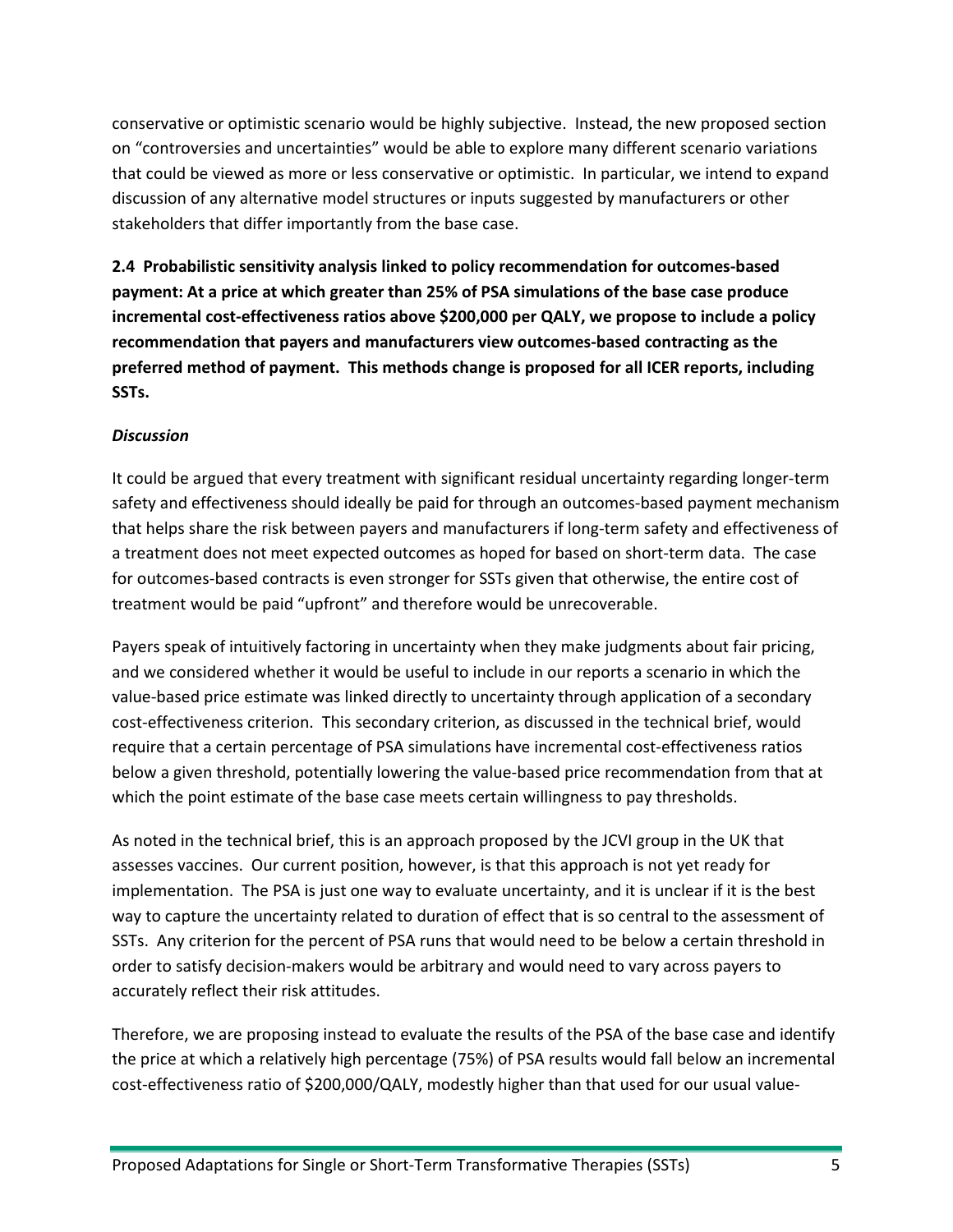conservative or optimistic scenario would be highly subjective. Instead, the new proposed section on "controversies and uncertainties" would be able to explore many different scenario variations that could be viewed as more or less conservative or optimistic. In particular, we intend to expand discussion of any alternative model structures or inputs suggested by manufacturers or other stakeholders that differ importantly from the base case.

**2.4 Probabilistic sensitivity analysis linked to policy recommendation for outcomes-based payment: At a price at which greater than 25% of PSA simulations of the base case produce incremental cost-effectiveness ratios above \$200,000 per QALY, we propose to include a policy recommendation that payers and manufacturers view outcomes-based contracting as the preferred method of payment. This methods change is proposed for all ICER reports, including SSTs.**

#### *Discussion*

It could be argued that every treatment with significant residual uncertainty regarding longer-term safety and effectiveness should ideally be paid for through an outcomes-based payment mechanism that helps share the risk between payers and manufacturers if long-term safety and effectiveness of a treatment does not meet expected outcomes as hoped for based on short-term data. The case for outcomes-based contracts is even stronger for SSTs given that otherwise, the entire cost of treatment would be paid "upfront" and therefore would be unrecoverable.

Payers speak of intuitively factoring in uncertainty when they make judgments about fair pricing, and we considered whether it would be useful to include in our reports a scenario in which the value-based price estimate was linked directly to uncertainty through application of a secondary cost-effectiveness criterion. This secondary criterion, as discussed in the technical brief, would require that a certain percentage of PSA simulations have incremental cost-effectiveness ratios below a given threshold, potentially lowering the value-based price recommendation from that at which the point estimate of the base case meets certain willingness to pay thresholds.

As noted in the technical brief, this is an approach proposed by the JCVI group in the UK that assesses vaccines. Our current position, however, is that this approach is not yet ready for implementation. The PSA is just one way to evaluate uncertainty, and it is unclear if it is the best way to capture the uncertainty related to duration of effect that is so central to the assessment of SSTs. Any criterion for the percent of PSA runs that would need to be below a certain threshold in order to satisfy decision-makers would be arbitrary and would need to vary across payers to accurately reflect their risk attitudes.

Therefore, we are proposing instead to evaluate the results of the PSA of the base case and identify the price at which a relatively high percentage (75%) of PSA results would fall below an incremental cost-effectiveness ratio of \$200,000/QALY, modestly higher than that used for our usual value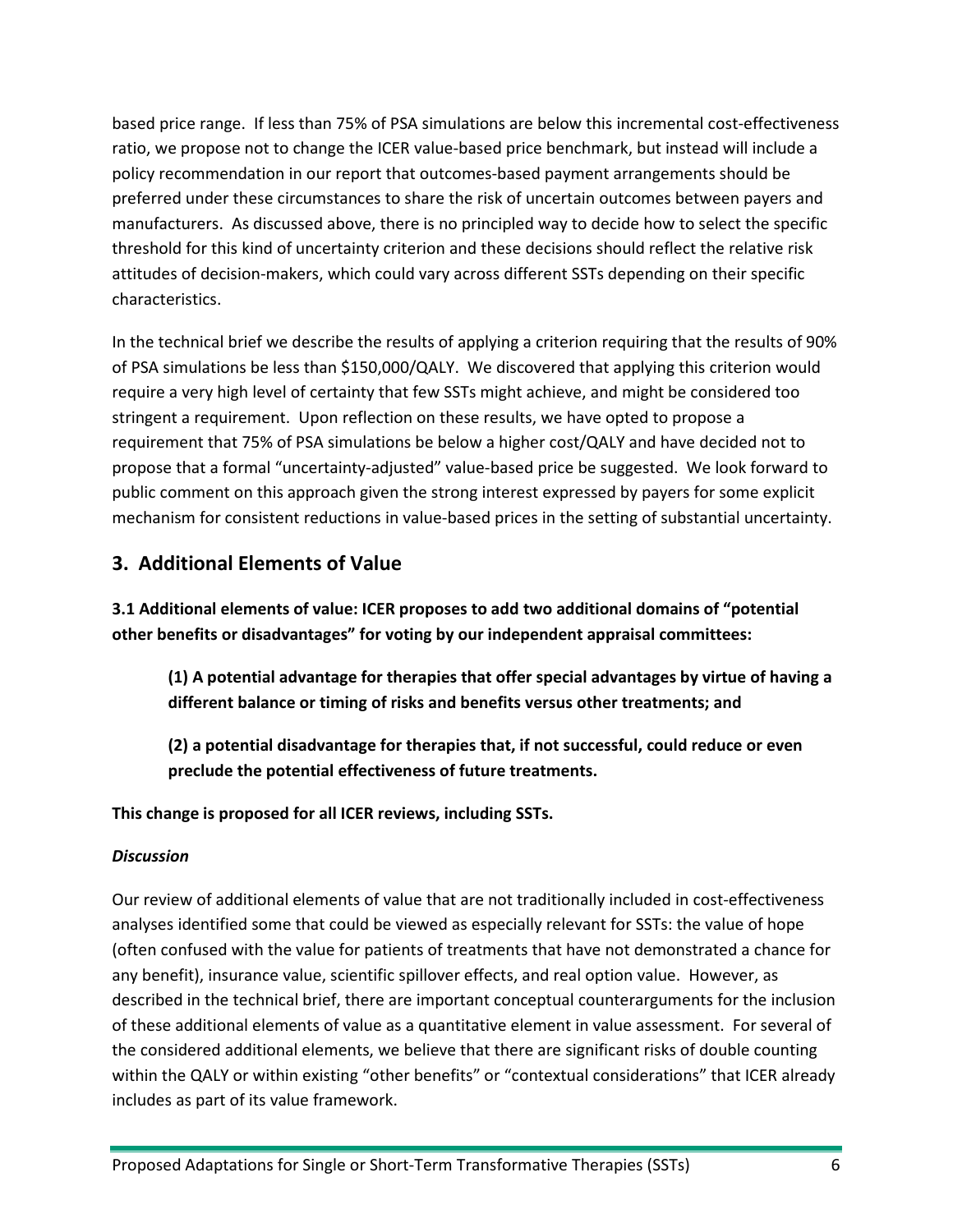based price range. If less than 75% of PSA simulations are below this incremental cost-effectiveness ratio, we propose not to change the ICER value-based price benchmark, but instead will include a policy recommendation in our report that outcomes-based payment arrangements should be preferred under these circumstances to share the risk of uncertain outcomes between payers and manufacturers. As discussed above, there is no principled way to decide how to select the specific threshold for this kind of uncertainty criterion and these decisions should reflect the relative risk attitudes of decision-makers, which could vary across different SSTs depending on their specific characteristics.

In the technical brief we describe the results of applying a criterion requiring that the results of 90% of PSA simulations be less than \$150,000/QALY. We discovered that applying this criterion would require a very high level of certainty that few SSTs might achieve, and might be considered too stringent a requirement. Upon reflection on these results, we have opted to propose a requirement that 75% of PSA simulations be below a higher cost/QALY and have decided not to propose that a formal "uncertainty-adjusted" value-based price be suggested. We look forward to public comment on this approach given the strong interest expressed by payers for some explicit mechanism for consistent reductions in value-based prices in the setting of substantial uncertainty.

## **3. Additional Elements of Value**

**3.1 Additional elements of value: ICER proposes to add two additional domains of "potential other benefits or disadvantages" for voting by our independent appraisal committees:** 

**(1) A potential advantage for therapies that offer special advantages by virtue of having a different balance or timing of risks and benefits versus other treatments; and** 

**(2) a potential disadvantage for therapies that, if not successful, could reduce or even preclude the potential effectiveness of future treatments.** 

**This change is proposed for all ICER reviews, including SSTs.**

## *Discussion*

Our review of additional elements of value that are not traditionally included in cost-effectiveness analyses identified some that could be viewed as especially relevant for SSTs: the value of hope (often confused with the value for patients of treatments that have not demonstrated a chance for any benefit), insurance value, scientific spillover effects, and real option value. However, as described in the technical brief, there are important conceptual counterarguments for the inclusion of these additional elements of value as a quantitative element in value assessment. For several of the considered additional elements, we believe that there are significant risks of double counting within the QALY or within existing "other benefits" or "contextual considerations" that ICER already includes as part of its value framework.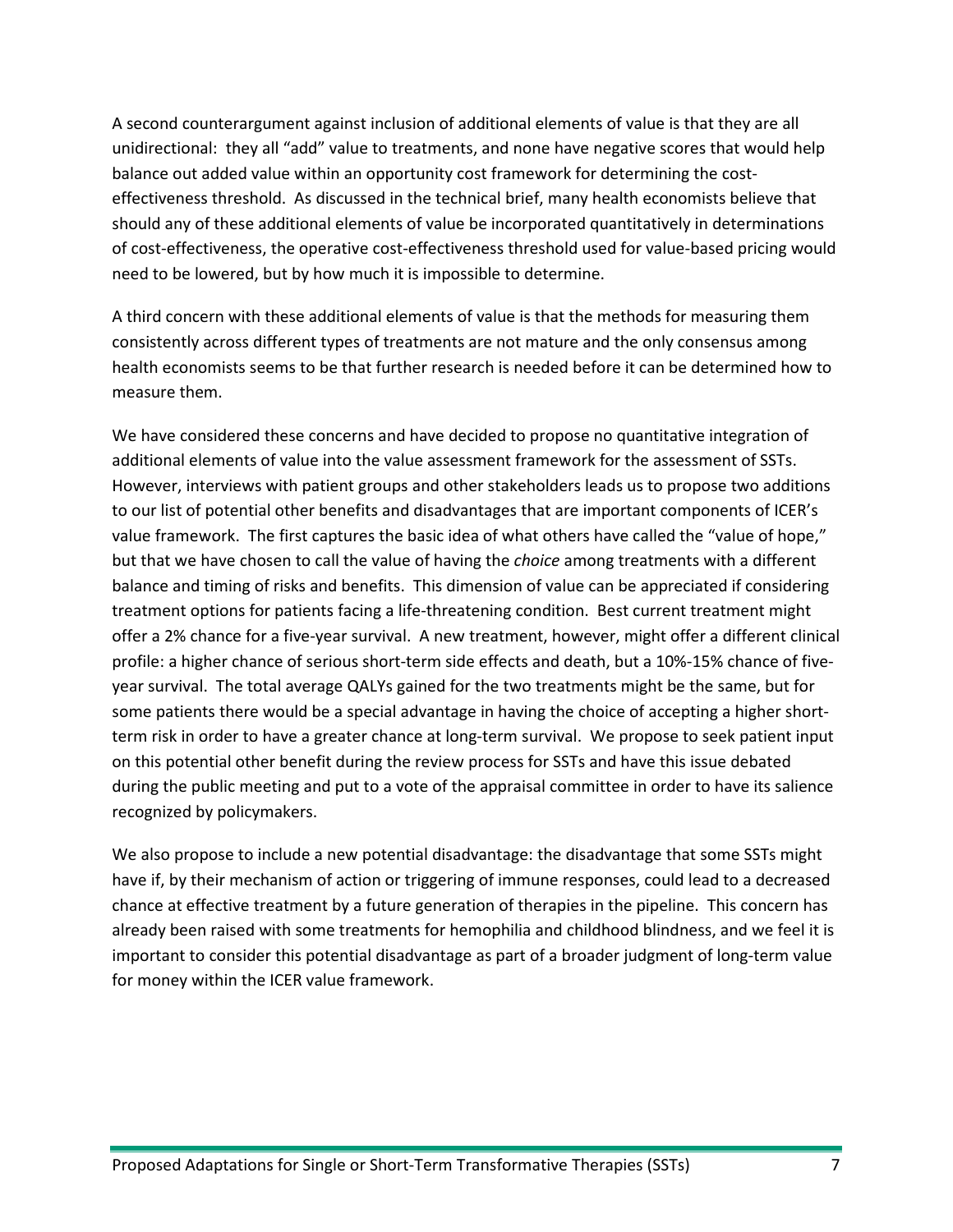A second counterargument against inclusion of additional elements of value is that they are all unidirectional: they all "add" value to treatments, and none have negative scores that would help balance out added value within an opportunity cost framework for determining the costeffectiveness threshold. As discussed in the technical brief, many health economists believe that should any of these additional elements of value be incorporated quantitatively in determinations of cost-effectiveness, the operative cost-effectiveness threshold used for value-based pricing would need to be lowered, but by how much it is impossible to determine.

A third concern with these additional elements of value is that the methods for measuring them consistently across different types of treatments are not mature and the only consensus among health economists seems to be that further research is needed before it can be determined how to measure them.

We have considered these concerns and have decided to propose no quantitative integration of additional elements of value into the value assessment framework for the assessment of SSTs. However, interviews with patient groups and other stakeholders leads us to propose two additions to our list of potential other benefits and disadvantages that are important components of ICER's value framework. The first captures the basic idea of what others have called the "value of hope," but that we have chosen to call the value of having the *choice* among treatments with a different balance and timing of risks and benefits. This dimension of value can be appreciated if considering treatment options for patients facing a life-threatening condition. Best current treatment might offer a 2% chance for a five-year survival. A new treatment, however, might offer a different clinical profile: a higher chance of serious short-term side effects and death, but a 10%-15% chance of fiveyear survival. The total average QALYs gained for the two treatments might be the same, but for some patients there would be a special advantage in having the choice of accepting a higher shortterm risk in order to have a greater chance at long-term survival. We propose to seek patient input on this potential other benefit during the review process for SSTs and have this issue debated during the public meeting and put to a vote of the appraisal committee in order to have its salience recognized by policymakers.

We also propose to include a new potential disadvantage: the disadvantage that some SSTs might have if, by their mechanism of action or triggering of immune responses, could lead to a decreased chance at effective treatment by a future generation of therapies in the pipeline. This concern has already been raised with some treatments for hemophilia and childhood blindness, and we feel it is important to consider this potential disadvantage as part of a broader judgment of long-term value for money within the ICER value framework.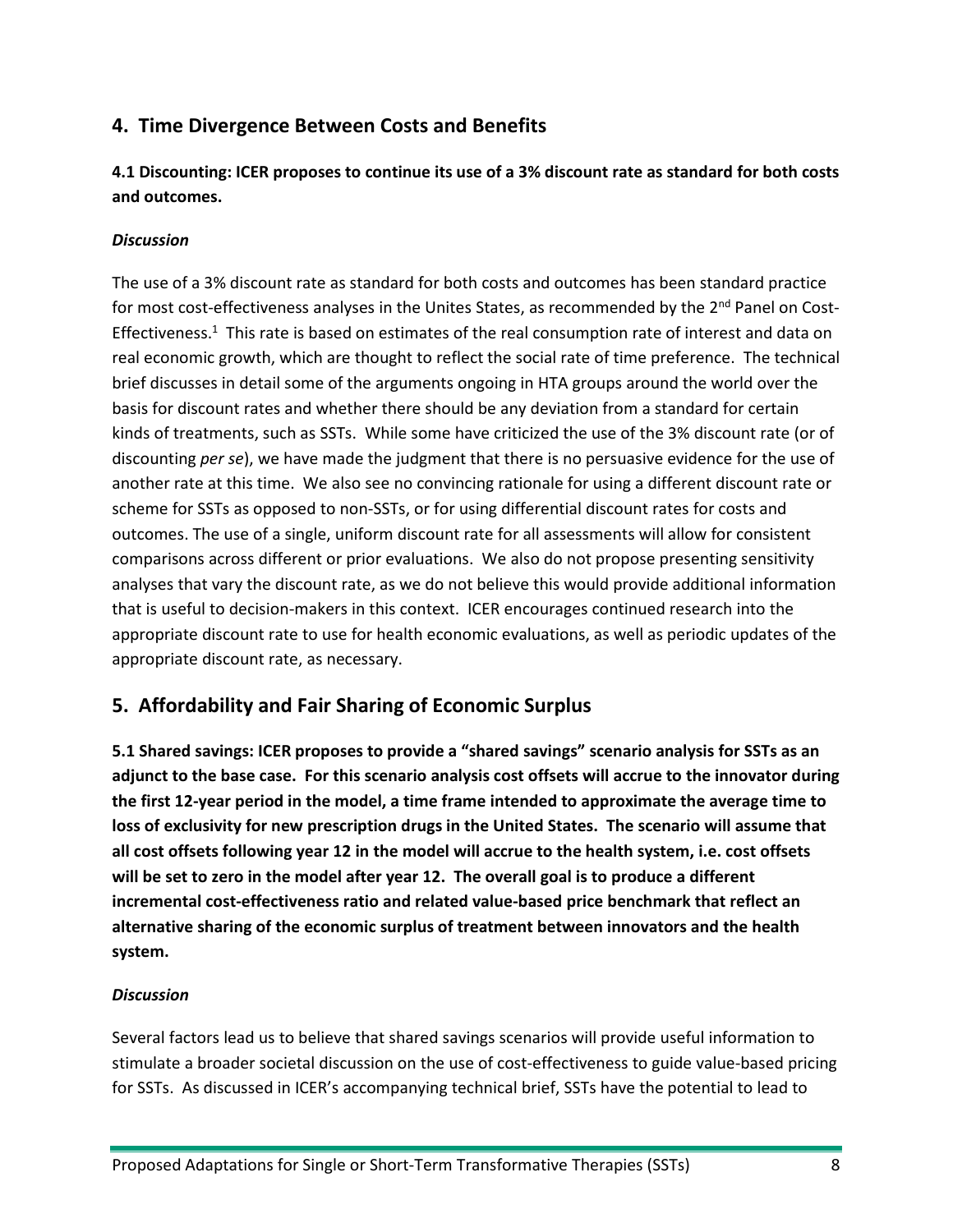## **4. Time Divergence Between Costs and Benefits**

## **4.1 Discounting: ICER proposes to continue its use of a 3% discount rate as standard for both costs and outcomes.**

## *Discussion*

The use of a 3% discount rate as standard for both costs and outcomes has been standard practice for most cost-effectiveness analyses in the Unites States, as recommended by the 2<sup>nd</sup> Panel on Cost-Effectiveness.<sup>[1](#page-10-0)</sup> This rate is based on estimates of the real consumption rate of interest and data on real economic growth, which are thought to reflect the social rate of time preference. The technical brief discusses in detail some of the arguments ongoing in HTA groups around the world over the basis for discount rates and whether there should be any deviation from a standard for certain kinds of treatments, such as SSTs. While some have criticized the use of the 3% discount rate (or of discounting *per se*), we have made the judgment that there is no persuasive evidence for the use of another rate at this time. We also see no convincing rationale for using a different discount rate or scheme for SSTs as opposed to non-SSTs, or for using differential discount rates for costs and outcomes. The use of a single, uniform discount rate for all assessments will allow for consistent comparisons across different or prior evaluations. We also do not propose presenting sensitivity analyses that vary the discount rate, as we do not believe this would provide additional information that is useful to decision-makers in this context. ICER encourages continued research into the appropriate discount rate to use for health economic evaluations, as well as periodic updates of the appropriate discount rate, as necessary.

## **5. Affordability and Fair Sharing of Economic Surplus**

**5.1 Shared savings: ICER proposes to provide a "shared savings" scenario analysis for SSTs as an adjunct to the base case. For this scenario analysis cost offsets will accrue to the innovator during the first 12-year period in the model, a time frame intended to approximate the average time to loss of exclusivity for new prescription drugs in the United States. The scenario will assume that all cost offsets following year 12 in the model will accrue to the health system, i.e. cost offsets will be set to zero in the model after year 12. The overall goal is to produce a different incremental cost-effectiveness ratio and related value-based price benchmark that reflect an alternative sharing of the economic surplus of treatment between innovators and the health system.** 

## *Discussion*

Several factors lead us to believe that shared savings scenarios will provide useful information to stimulate a broader societal discussion on the use of cost-effectiveness to guide value-based pricing for SSTs. As discussed in ICER's accompanying technical brief, SSTs have the potential to lead to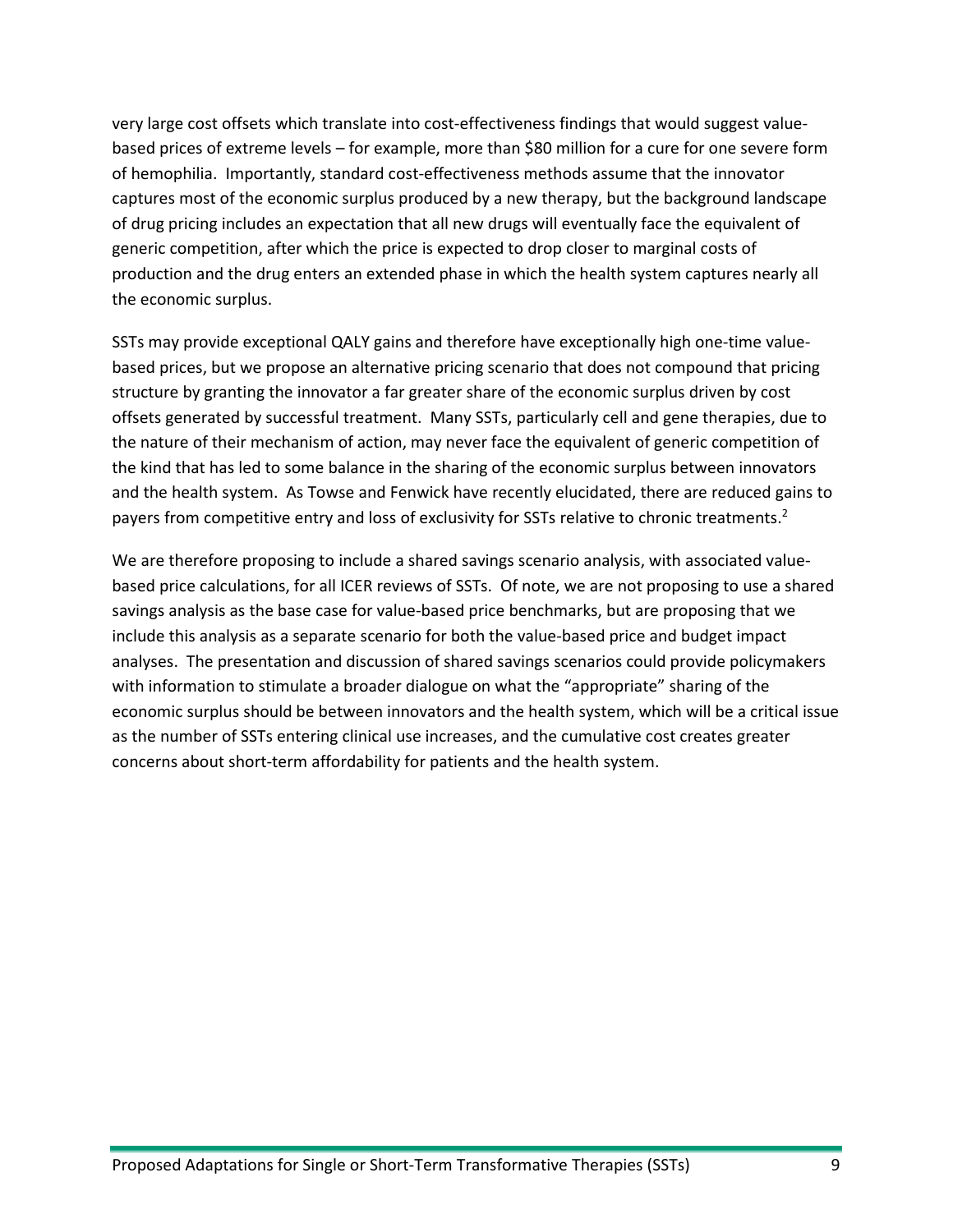very large cost offsets which translate into cost-effectiveness findings that would suggest valuebased prices of extreme levels – for example, more than \$80 million for a cure for one severe form of hemophilia. Importantly, standard cost-effectiveness methods assume that the innovator captures most of the economic surplus produced by a new therapy, but the background landscape of drug pricing includes an expectation that all new drugs will eventually face the equivalent of generic competition, after which the price is expected to drop closer to marginal costs of production and the drug enters an extended phase in which the health system captures nearly all the economic surplus.

SSTs may provide exceptional QALY gains and therefore have exceptionally high one-time valuebased prices, but we propose an alternative pricing scenario that does not compound that pricing structure by granting the innovator a far greater share of the economic surplus driven by cost offsets generated by successful treatment. Many SSTs, particularly cell and gene therapies, due to the nature of their mechanism of action, may never face the equivalent of generic competition of the kind that has led to some balance in the sharing of the economic surplus between innovators and the health system. As Towse and Fenwick have recently elucidated, there are reduced gains to payers from competitive entry and loss of exclusivity for SSTs relative to chronic treatments.<sup>2</sup>

We are therefore proposing to include a shared savings scenario analysis, with associated valuebased price calculations, for all ICER reviews of SSTs. Of note, we are not proposing to use a shared savings analysis as the base case for value-based price benchmarks, but are proposing that we include this analysis as a separate scenario for both the value-based price and budget impact analyses. The presentation and discussion of shared savings scenarios could provide policymakers with information to stimulate a broader dialogue on what the "appropriate" sharing of the economic surplus should be between innovators and the health system, which will be a critical issue as the number of SSTs entering clinical use increases, and the cumulative cost creates greater concerns about short-term affordability for patients and the health system.